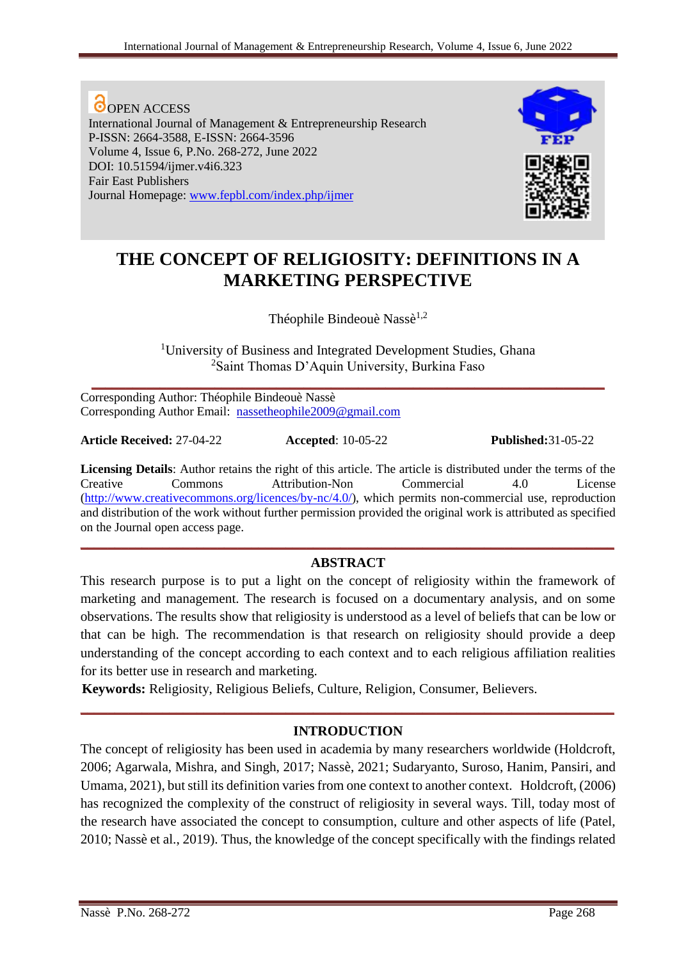**O**OPEN ACCESS International Journal of Management & Entrepreneurship Research P-ISSN: 2664-3588, E-ISSN: 2664-3596 Volume 4, Issue 6, P.No. 268-272, June 2022 DOI: 10.51594/ijmer.v4i6.323 Fair East Publishers Journal Homepage: [www.fepbl.com/index.php/ijmer](http://www.fepbl.com/index.php/ijmer)



# **THE CONCEPT OF RELIGIOSITY: DEFINITIONS IN A MARKETING PERSPECTIVE**

Théophile Bindeouè Nassè<sup>1,2</sup>

<sup>1</sup>University of Business and Integrated Development Studies, Ghana <sup>2</sup>Saint Thomas D'Aquin University, Burkina Faso

**\_\_\_\_\_\_\_\_\_\_\_\_\_\_\_\_\_\_\_\_\_\_\_\_\_\_\_\_\_\_\_\_\_\_\_\_\_\_\_\_\_\_\_\_\_\_\_\_\_\_\_\_\_\_\_\_\_\_\_\_\_\_\_\_\_\_\_\_\_\_\_\_\_\_\_**

Corresponding Author: Théophile Bindeouè Nassè Corresponding Author Email: nassetheophile2009@gmail.com

**Article Received:** 27-04-22 **Accepted**: 10-05-22 **Published:**31-05-22

**Licensing Details**: Author retains the right of this article. The article is distributed under the terms of the Creative Commons Attribution-Non Commercial 4.0 License [\(http://www.creativecommons.org/licences/by-nc/4.0/\)](http://www.creativecommons.org/licences/by-nc/4.0/), which permits non-commercial use, reproduction and distribution of the work without further permission provided the original work is attributed as specified on the Journal open access page.

# **\_\_\_\_\_\_\_\_\_\_\_\_\_\_\_\_\_\_\_\_\_\_\_\_\_\_\_\_\_\_\_\_\_\_\_\_\_\_\_\_\_\_\_\_\_\_\_\_\_\_\_\_\_\_\_\_\_\_\_\_\_\_\_\_\_\_\_\_\_\_\_\_\_\_\_\_\_\_ ABSTRACT**

This research purpose is to put a light on the concept of religiosity within the framework of marketing and management. The research is focused on a documentary analysis, and on some observations. The results show that religiosity is understood as a level of beliefs that can be low or that can be high. The recommendation is that research on religiosity should provide a deep understanding of the concept according to each context and to each religious affiliation realities for its better use in research and marketing.

**Keywords:** Religiosity, Religious Beliefs, Culture, Religion, Consumer, Believers.

## **INTRODUCTION**

**\_\_\_\_\_\_\_\_\_\_\_\_\_\_\_\_\_\_\_\_\_\_\_\_\_\_\_\_\_\_\_\_\_\_\_\_\_\_\_\_\_\_\_\_\_\_\_\_\_\_\_\_\_\_\_\_\_\_\_\_\_\_\_\_\_\_\_\_\_\_\_\_\_\_\_\_\_\_**

The concept of religiosity has been used in academia by many researchers worldwide (Holdcroft, 2006; Agarwala, Mishra, and Singh, 2017; Nassè, 2021; Sudaryanto, Suroso, Hanim, Pansiri, and Umama, 2021), but still its definition varies from one context to another context. Holdcroft, (2006) has recognized the complexity of the construct of religiosity in several ways. Till, today most of the research have associated the concept to consumption, culture and other aspects of life (Patel, 2010; Nassè et al., 2019). Thus, the knowledge of the concept specifically with the findings related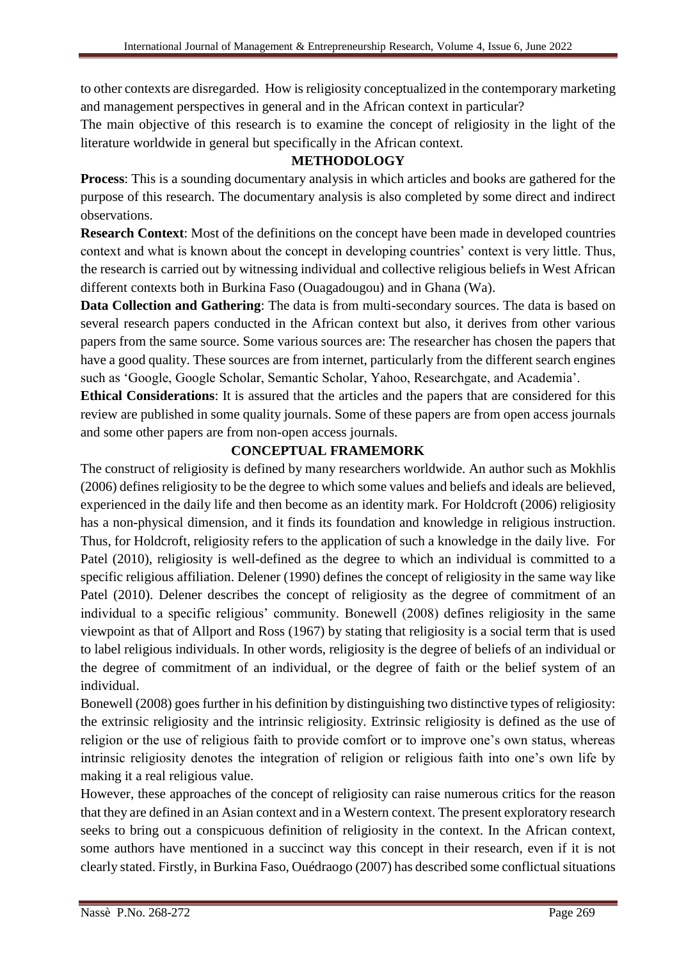to other contexts are disregarded. How is religiosity conceptualized in the contemporary marketing and management perspectives in general and in the African context in particular?

The main objective of this research is to examine the concept of religiosity in the light of the literature worldwide in general but specifically in the African context.

# **METHODOLOGY**

**Process**: This is a sounding documentary analysis in which articles and books are gathered for the purpose of this research. The documentary analysis is also completed by some direct and indirect observations.

**Research Context**: Most of the definitions on the concept have been made in developed countries context and what is known about the concept in developing countries' context is very little. Thus, the research is carried out by witnessing individual and collective religious beliefs in West African different contexts both in Burkina Faso (Ouagadougou) and in Ghana (Wa).

**Data Collection and Gathering**: The data is from multi-secondary sources. The data is based on several research papers conducted in the African context but also, it derives from other various papers from the same source. Some various sources are: The researcher has chosen the papers that have a good quality. These sources are from internet, particularly from the different search engines such as 'Google, Google Scholar, Semantic Scholar, Yahoo, Researchgate, and Academia'.

**Ethical Considerations**: It is assured that the articles and the papers that are considered for this review are published in some quality journals. Some of these papers are from open access journals and some other papers are from non-open access journals.

# **CONCEPTUAL FRAMEMORK**

The construct of religiosity is defined by many researchers worldwide. An author such as Mokhlis (2006) defines religiosity to be the degree to which some values and beliefs and ideals are believed, experienced in the daily life and then become as an identity mark. For Holdcroft (2006) religiosity has a non-physical dimension, and it finds its foundation and knowledge in religious instruction. Thus, for Holdcroft, religiosity refers to the application of such a knowledge in the daily live. For Patel (2010), religiosity is well-defined as the degree to which an individual is committed to a specific religious affiliation. Delener (1990) defines the concept of religiosity in the same way like Patel (2010). Delener describes the concept of religiosity as the degree of commitment of an individual to a specific religious' community. Bonewell (2008) defines religiosity in the same viewpoint as that of Allport and Ross (1967) by stating that religiosity is a social term that is used to label religious individuals. In other words, religiosity is the degree of beliefs of an individual or the degree of commitment of an individual, or the degree of faith or the belief system of an individual.

Bonewell (2008) goes further in his definition by distinguishing two distinctive types of religiosity: the extrinsic religiosity and the intrinsic religiosity. Extrinsic religiosity is defined as the use of religion or the use of religious faith to provide comfort or to improve one's own status, whereas intrinsic religiosity denotes the integration of religion or religious faith into one's own life by making it a real religious value.

However, these approaches of the concept of religiosity can raise numerous critics for the reason that they are defined in an Asian context and in a Western context. The present exploratory research seeks to bring out a conspicuous definition of religiosity in the context. In the African context, some authors have mentioned in a succinct way this concept in their research, even if it is not clearly stated. Firstly, in Burkina Faso, Ouédraogo (2007) has described some conflictual situations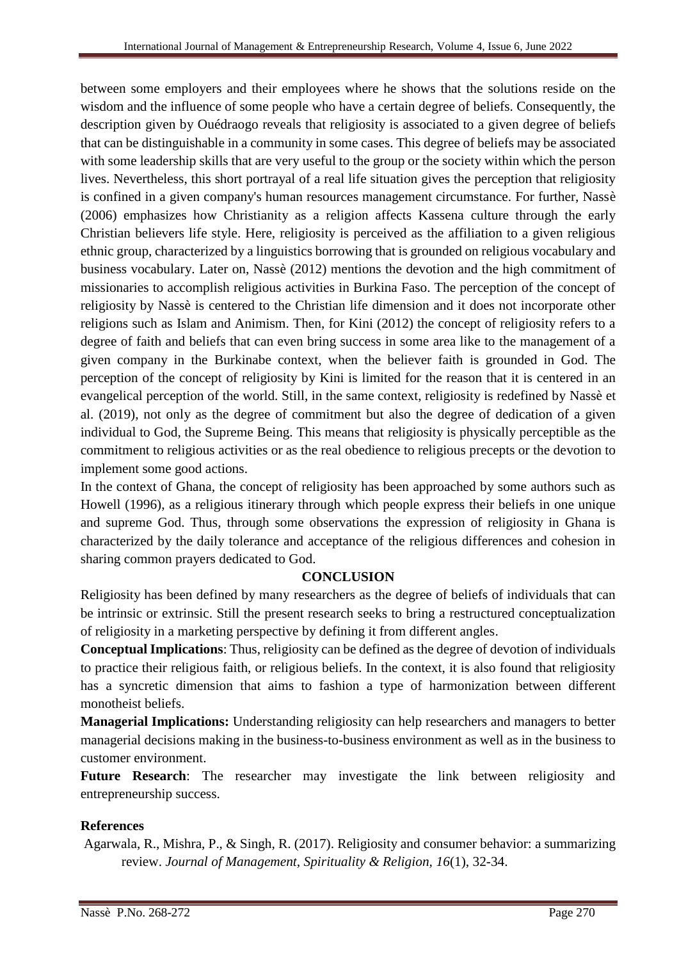between some employers and their employees where he shows that the solutions reside on the wisdom and the influence of some people who have a certain degree of beliefs. Consequently, the description given by Ouédraogo reveals that religiosity is associated to a given degree of beliefs that can be distinguishable in a community in some cases. This degree of beliefs may be associated with some leadership skills that are very useful to the group or the society within which the person lives. Nevertheless, this short portrayal of a real life situation gives the perception that religiosity is confined in a given company's human resources management circumstance. For further, Nassè (2006) emphasizes how Christianity as a religion affects Kassena culture through the early Christian believers life style. Here, religiosity is perceived as the affiliation to a given religious ethnic group, characterized by a linguistics borrowing that is grounded on religious vocabulary and business vocabulary. Later on, Nassè (2012) mentions the devotion and the high commitment of missionaries to accomplish religious activities in Burkina Faso. The perception of the concept of religiosity by Nassè is centered to the Christian life dimension and it does not incorporate other religions such as Islam and Animism. Then, for Kini (2012) the concept of religiosity refers to a degree of faith and beliefs that can even bring success in some area like to the management of a given company in the Burkinabe context, when the believer faith is grounded in God. The perception of the concept of religiosity by Kini is limited for the reason that it is centered in an evangelical perception of the world. Still, in the same context, religiosity is redefined by Nassè et al. (2019), not only as the degree of commitment but also the degree of dedication of a given individual to God, the Supreme Being. This means that religiosity is physically perceptible as the commitment to religious activities or as the real obedience to religious precepts or the devotion to implement some good actions.

In the context of Ghana, the concept of religiosity has been approached by some authors such as Howell (1996), as a religious itinerary through which people express their beliefs in one unique and supreme God. Thus, through some observations the expression of religiosity in Ghana is characterized by the daily tolerance and acceptance of the religious differences and cohesion in sharing common prayers dedicated to God.

# **CONCLUSION**

Religiosity has been defined by many researchers as the degree of beliefs of individuals that can be intrinsic or extrinsic. Still the present research seeks to bring a restructured conceptualization of religiosity in a marketing perspective by defining it from different angles.

**Conceptual Implications**: Thus, religiosity can be defined as the degree of devotion of individuals to practice their religious faith, or religious beliefs. In the context, it is also found that religiosity has a syncretic dimension that aims to fashion a type of harmonization between different monotheist beliefs.

**Managerial Implications:** Understanding religiosity can help researchers and managers to better managerial decisions making in the business-to-business environment as well as in the business to customer environment.

Future Research: The researcher may investigate the link between religiosity and entrepreneurship success.

## **References**

Agarwala, R., Mishra, P., & Singh, R. (2017). Religiosity and consumer behavior: a summarizing review. *Journal of Management, Spirituality & Religion, 16*(1), 32-34.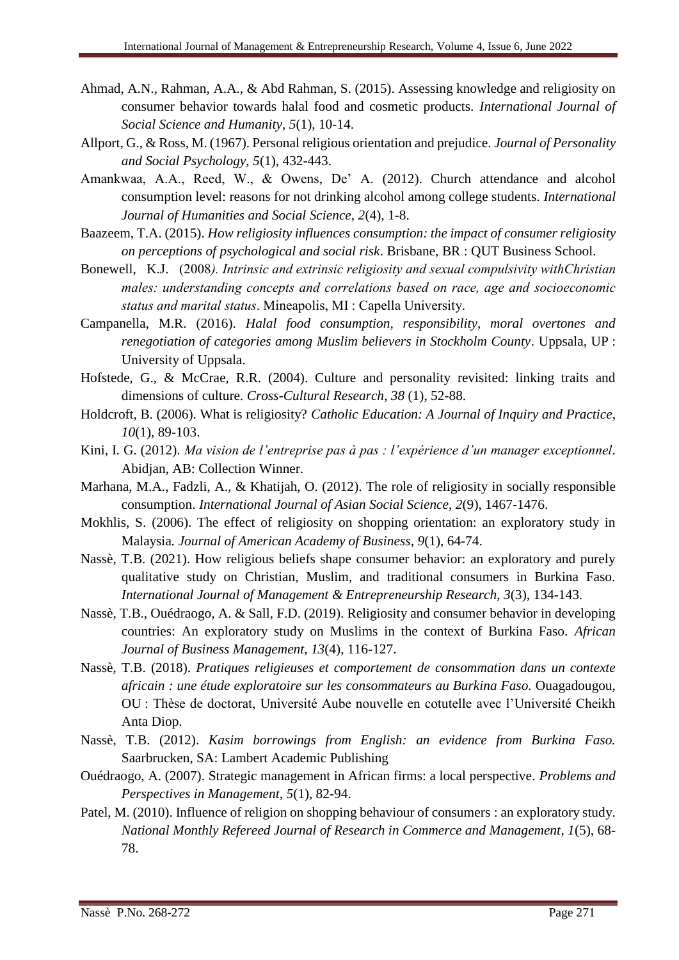- Ahmad, A.N., Rahman, A.A., & Abd Rahman, S. (2015). Assessing knowledge and religiosity on consumer behavior towards halal food and cosmetic products. *International Journal of Social Science and Humanity*, *5*(1), 10-14.
- Allport, G., & Ross, M. (1967). Personal religious orientation and prejudice. *Journal of Personality and Social Psychology*, *5*(1), 432-443.
- Amankwaa, A.A., Reed, W., & Owens, De' A. (2012). Church attendance and alcohol consumption level: reasons for not drinking alcohol among college students. *International Journal of Humanities and Social Science*, *2*(4), 1-8.
- Baazeem, T.A. (2015). *How religiosity influences consumption: the impact of consumer religiosity on perceptions of psychological and social risk*. Brisbane, BR : QUT Business School.
- Bonewell, K.J. (2008*). Intrinsic and extrinsic religiosity and sexual compulsivity withChristian males: understanding concepts and correlations based on race, age and socioeconomic status and marital status*. Mineapolis, MI : Capella University.
- Campanella, M.R. (2016). *Halal food consumption, responsibility, moral overtones and renegotiation of categories among Muslim believers in Stockholm County*. Uppsala, UP : University of Uppsala.
- Hofstede, G., & McCrae, R.R. (2004). Culture and personality revisited: linking traits and dimensions of culture. *Cross-Cultural Research*, *38* (1), 52-88.
- Holdcroft, B. (2006). What is religiosity? *Catholic Education: A Journal of Inquiry and Practice*, *10*(1), 89-103.
- Kini, I. G. (2012). *Ma vision de l'entreprise pas à pas : l'expérience d'un manager exceptionnel*. Abidjan, AB: Collection Winner.
- Marhana, M.A., Fadzli, A., & Khatijah, O. (2012). The role of religiosity in socially responsible consumption. *International Journal of Asian Social Science*, *2*(9), 1467-1476.
- Mokhlis, S. (2006). The effect of religiosity on shopping orientation: an exploratory study in Malaysia*. Journal of American Academy of Business, 9*(1), 64-74.
- Nassè, T.B. (2021). How religious beliefs shape consumer behavior: an exploratory and purely qualitative study on Christian, Muslim, and traditional consumers in Burkina Faso. *[International Journal of Management & Entrepreneurship Research,](https://fepbl.com/index.php/ijmer/index) 3*(3), 134-143.
- Nassè, T.B., Ouédraogo, A. & Sall, F.D. (2019). Religiosity and consumer behavior in developing countries: An exploratory study on Muslims in the context of Burkina Faso. *African Journal of Business Management, 13*(4), 116-127.
- Nassè, T.B. (2018). *[Pratiques religieuses et comportement de consommation dans un contexte](http://scholar.google.com/scholar?cluster=11738361408947321518&hl=en&oi=scholarr)  [africain : une étude exploratoire sur les consommateurs au Burkina Faso.](http://scholar.google.com/scholar?cluster=11738361408947321518&hl=en&oi=scholarr)* Ouagadougou, OU : Thèse de doctorat, Université Aube nouvelle en cotutelle avec l'Université Cheikh Anta Diop.
- Nassè, T.B. (2012). *Kasim borrowings from English: an evidence from Burkina Faso.* Saarbrucken, SA: Lambert Academic Publishing
- Ouédraogo, A. (2007). Strategic management in African firms: a local perspective. *Problems and Perspectives in Management*, *5*(1), 82-94.
- Patel, M. (2010). Influence of religion on shopping behaviour of consumers : an exploratory study. *National Monthly Refereed Journal of Research in Commerce and Management*, *1*(5), 68- 78.